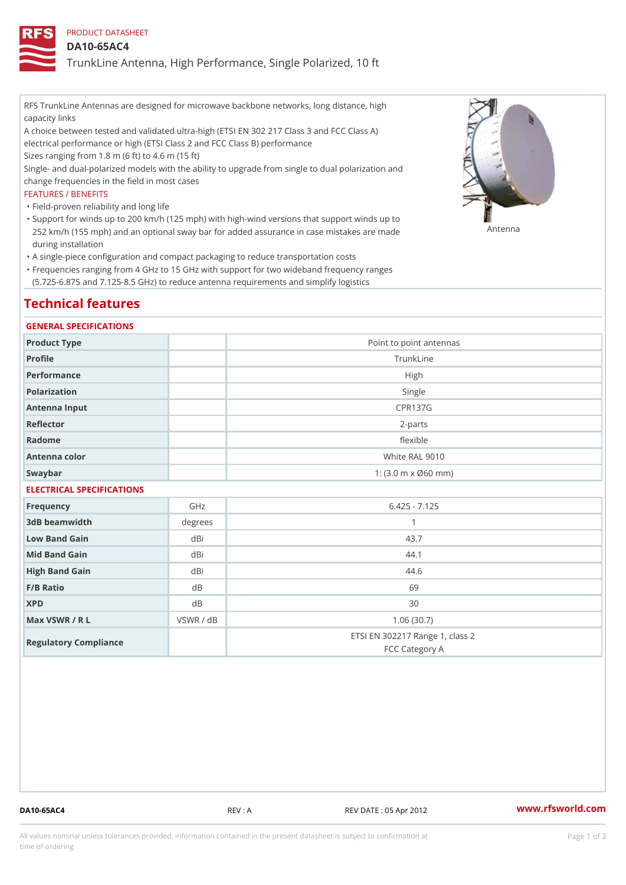## PRODUCT DATASHEET

## DA10-65AC4

TrunkLine Antenna, High Performance, Single Polarized, 10 ft

RFS TrunkLine Antennas are designed for microwave backbone networks, long distance, high capacity links

A choice between tested and validated ultra-high (ETSI EN 302 217 Class 3 and FCC Class A) electrical performance or high (ETSI Class 2 and FCC Class B) performance

Sizes ranging from 1.8 m (6 ft) to 4.6 m (15 ft)

Single- and dual-polarized models with the ability to upgrade from single to dual polarization and change frequencies in the field in most cases

## FEATURES / BENEFITS

"Field-proven reliability and long life

- Support for winds up to 200 km/h (125 mph) with high-wind versions that support winds up to " 252 km/h (155 mph) and an optional sway bar for added assurance in case m 48 #8 R B & are made during installation
- "A single-piece configuration and compact packaging to reduce transportation costs
- Frequencies ranging from 4 GHz to 15 GHz with support for two wideband frequency ranges " (5.725-6.875 and 7.125-8.5 GHz) to reduce antenna requirements and simplify logistics

# Technical features

## GENERAL SPECIFICATIONS

| Product Type              | Point to point antennas                                 |  |  |  |
|---------------------------|---------------------------------------------------------|--|--|--|
| Profile                   | TrunkLine                                               |  |  |  |
| Performance               | High                                                    |  |  |  |
| Polarization              | Single                                                  |  |  |  |
| Antenna Input             | <b>CPR137G</b>                                          |  |  |  |
| Reflector                 | $2 - p$ arts                                            |  |  |  |
| Radome                    | flexible                                                |  |  |  |
| Antenna color             | White RAL 9010                                          |  |  |  |
| Swaybar                   | 1: $(3.0 \, \text{m} \times \emptyset 60 \, \text{mm})$ |  |  |  |
| ELECTBICAL COECIEICATIONS |                                                         |  |  |  |

# ELECTRICAL SPECIFICATIONS Frequency GHz GHz 6.425 - 7.125 3dB beamwidth degrees 1 Low Band Gain dBi dBi 43.7 Mid Band Gain dBi dBi 44.1 High Band Gain dBi 44.6 F/B Ratio dB dB 69  $XPD$  dB  $dB$  30 Max VSWR / R L VSWR / dB 1.06 (30.7) Regulatory Compliance ETSI EN 302217 Range 1, class 2

DA10-65AC4 REV : A REV DATE : 05 Apr 2012 [www.](https://www.rfsworld.com)rfsworld.com

FCC Category A

All values nominal unless tolerances provided; information contained in the present datasheet is subject to Pcapgeign mation time of ordering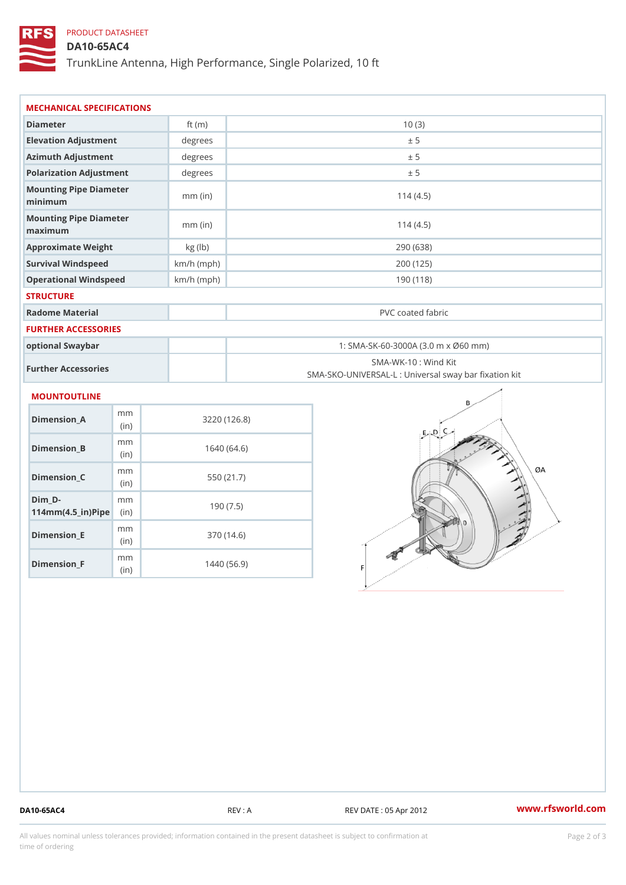## PRODUCT DATASHEET

DA10-65AC4

TrunkLine Antenna, High Performance, Single Polarized, 10 ft

| MECHANICAL SPECIFICATIONS                                          |                        |              |                                                                          |  |  |
|--------------------------------------------------------------------|------------------------|--------------|--------------------------------------------------------------------------|--|--|
| Diameter                                                           |                        | ft $(m)$     | 10(3)                                                                    |  |  |
| Elevation Adjustment                                               |                        | degrees      | ± 5                                                                      |  |  |
| Azimuth Adjustment                                                 |                        | degrees      | ± 5                                                                      |  |  |
| Polarization Adjustment                                            |                        | degrees      | ± 5                                                                      |  |  |
| Mounting Pipe Diameter<br>minimum                                  |                        | $mm$ (in)    | 114(4.5)                                                                 |  |  |
| Mounting Pipe Diameter<br>maximum                                  |                        | $mm$ (in)    | 114(4.5)                                                                 |  |  |
| Approximate Weight                                                 |                        | kg (lb)      | 290 (638)                                                                |  |  |
| Survival Windspeed                                                 |                        | $km/h$ (mph) | 200 (125)                                                                |  |  |
| Operational Windspeed                                              |                        | $km/h$ (mph) | 190 (118)                                                                |  |  |
| <b>STRUCTURE</b>                                                   |                        |              |                                                                          |  |  |
| Radome Material                                                    |                        |              | PVC coated fabric                                                        |  |  |
| FURTHER ACCESSORIES                                                |                        |              |                                                                          |  |  |
| optional Swaybar                                                   |                        |              | 1: SMA-SK-60-3000A (3.0 m x Ø60 mm)                                      |  |  |
| Further Accessories                                                |                        |              | SMA-WK-10: Wind Kit<br>SMA-SKO-UNIVERSAL-L : Universal sway bar fixation |  |  |
| MOUNTOUTLINE                                                       |                        |              |                                                                          |  |  |
| Dimension A                                                        | m <sub>m</sub><br>(in) |              | 3220(126.8)                                                              |  |  |
| $Dimension_B$                                                      | m m<br>(in)            |              | 1640(64.6)                                                               |  |  |
| $Dimension_C$                                                      | m m<br>(in)            |              | 550 (21.7)                                                               |  |  |
| $Dim_D - D -$<br>$114$ m m (4.5 _ ir ) $\sqrt{$ im $\cdot$ $\cdot$ | m <sub>m</sub>         |              | 190(7.5)                                                                 |  |  |
| <b>B</b> the control of the control                                | m m                    |              | 0.70(110)                                                                |  |  |

Dimension\_E

Dimension\_F

(in)

m<sub>m</sub> (in)

370 (14.6)

1440 (56.9)

DA10-65AC4 REV : A REV DATE : 05 Apr 2012 [www.](https://www.rfsworld.com)rfsworld.com